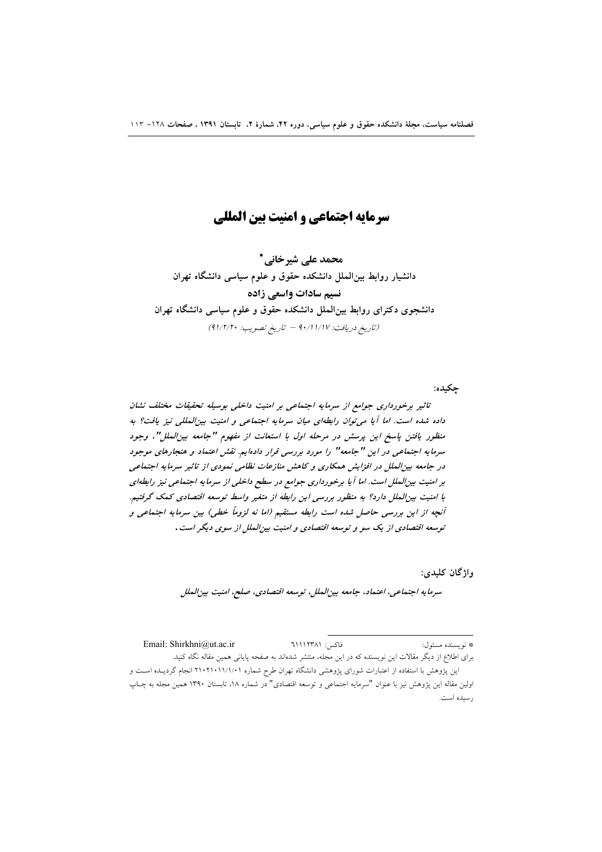# سرمایه احتماعی و امنیت پین المللی

محمد على شيرخاني \* دانشیار روابط بین الملل دانشکده حقوق و علوم سیاسی دانشگاه تهران نسیم سادات واسعی زاده دانشجوی دکترای روابط بینالملل دانشکده حقوق و علوم سیاسی دانشگاه تهران (تاريخ دريافت: ١/١٧ / ٩٠/١ = تاريخ تصويب: ٩١/٢/٢٠)

حكىدە:

تاثیر برخورداری جوامع از سرمایه اجتماعی بر امنیت داخلی بوسیله تحقیقات مختلف نشان داده شده است. اما آیا می توان رابطهای میان سرمایه اجتماعی و امنیت بین المللی نیز یافت؟ به منظور یافتن پاسخ این پرسش در مرحله اول با استعانت از مفهوم "جامعه بین الملل"، وجود سرمایه اجتماعی در این "جامعه" را مورد بررسی قرار دادهایم. نقش اعتماد و هنجارهای موجود در جامعه بین الملل در افزایش همکاری و کاهش منازعات نظامی نمودی از تاثیر سرمایه اجتماعی بر امنیت بین الملل است. اما آ یا برخورداری جوامع در سطح داخلی از سرمایه اجتماعی نیز رابطهای با امنیت بین الملل دارد؟ به منظور بررسی این رابطه از متغیر واسط توسعه اقتصادی کمک گرفتیم. آنچه از این بررسی حاصل شده است رابطه مستقیم (اما نه لزوماً خطی) بین سرمایه اجتماعی و توسعه اقتصادی از یک سو و توسعه اقتصادی و امنیت بین الملل از سوی دیگر است .

واژگان کليدي:

سرمايه اجتماعي، اعتماد، جامعه بين الملل، توسعه اقتصادي، صلح، امنيت بين الملل

Email: Shirkhni@ut.ac.ir فاكس: ٦١١٢٣٨١ \* نويسنده مسئول: برای اطلاع از دیگر مقالات این نویسنده که در این مجله، منتشر شدهاند به صفحه پایانی همین مقاله نگاه کنید. این پژوهش با استفاده از اعتبارات شورای پژوهشی دانشگاه تهران طرح شماره ۲۱۰۱۱/۱/۰۱ انجام گردیــده اســت و اولین مقاله این پژوهش نیز با عنوان "سرمایه اجتماعی و توسعه اقتصادی" در شماره ۱۸، تابستان ۱۳۹۰ همین مجله به چـاپ رسيده است.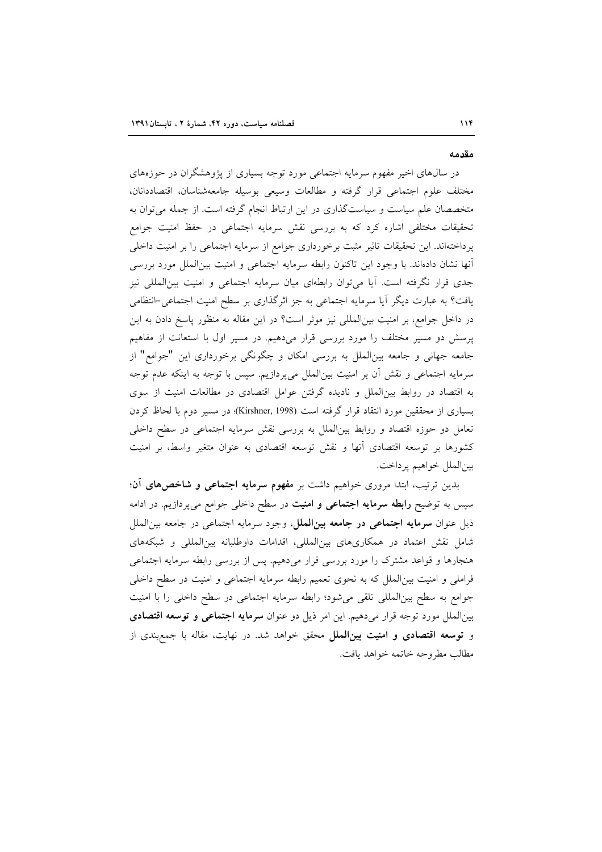#### مقدمه

در سال@ای اخیر مفهوم سرمایه اجتماعی مورد توجه بسیاری از پژوهشگران در حوزههای مختلف علوم اجتماعي قرار گرفته و مطالعات وسيعي بوسيله جامعهشناسان، اقتصاددانان، متخصصان علم سیاست و سیاستگذاری در این ارتباط انجام گرفته است. از جمله می توان به تحقیقات مختلفی اشاره کرد که به بررسی نقش سرمایه اجتماعی در حفظ امنیت جوامع پرداختهاند. این تحقیقات تاثیر مثبت برخورداری جوامع از سرمایه اجتماعی را بر امنیت داخلی أنها نشان دادهاند. با وجود اين تاكنون رابطه سرمايه اجتماعي و امنيت بين|لملل مورد بررسي جدی قرار نگرفته است. آیا می توان رابطهای میان سرمایه اجتماعی و امنیت بینالمللی نیز یافت؟ به عبارت دیگر آیا سرمایه اجتماعی به جز اثرگذاری بر سطح امنیت اجتماعی-انتظامی در داخل جوامع، بر امنیت بینالمللی نیز موثر است؟ در این مقاله به منظور پاسخ دادن به این پرسش دو مسیر مختلف را مورد بررسی قرار میدهیم. در مسیر اول با استعانت از مفاهیم جامعه جهانی و جامعه بینالملل به بررسی امکان و چگونگی برخورداری این "جوامع" از سرمایه اجتماعی و نقش آن بر امنیت بینالملل میپردازیم. سپس با توجه به اینکه عدم توجه به اقتصاد در روابط بینالملل و نادیده گرفتن عوامل اقتصادی در مطالعات امنیت از سوی بسیاری از محققین مورد انتقاد قرار گرفته است (Kirshner, 1998)؛ در مسیر دوم با لحاظ کردن تعامل دو حوزه اقتصاد و روابط بین الملل به بررسی نقش سرمایه اجتماعی در سطح داخلی کشورها بر توسعه اقتصادی آنها و نقش توسعه اقتصادی به عنوان متغیر واسط، بر امنیت بين|لملل خواهيم پرداخت.

بدین ترتیب، ابتدا مروری خواهیم داشت بر م**فهوم سرمایه اجتماعی و شاخص های آن**؛ سپس به توضیح **رابطه سرمایه اجتماعی و امنیت** در سطح داخلی جوامع میپردازیم. در ادامه ذیل عنوان **سرمایه اجتماعی در جامعه بینالملل**، وجود سرمایه اجتماعی در جامعه بین|لملل شامل نقش اعتماد در همکاریهای بینالمللی، اقدامات داوطلبانه بینالمللی و شبکههای هنجارها و قواعد مشترک را مورد بررسی قرار میدهیم. پس از بررسی رابطه سرمایه اجتماعی فراملی و امنیت بین|لملل که به نحوی تعمیم رابطه سرمایه اجتماعی و امنیت در سطح داخلی جوامع به سطح بینالمللی تلقی میشود؛ رابطه سرمایه اجتماعی در سطح داخلی را با امنیت بینالملل مورد توجه قرار میدهیم. این امر ذیل دو عنوان **سرمایه اجتماعی و توسعه اقتصادی** و **توسعه اقتصادی و امنیت بینالملل** محقق خواهد شد. در نهایت، مقاله با جمع بندی از مطالب مطروحه خاتمه خواهد يافت.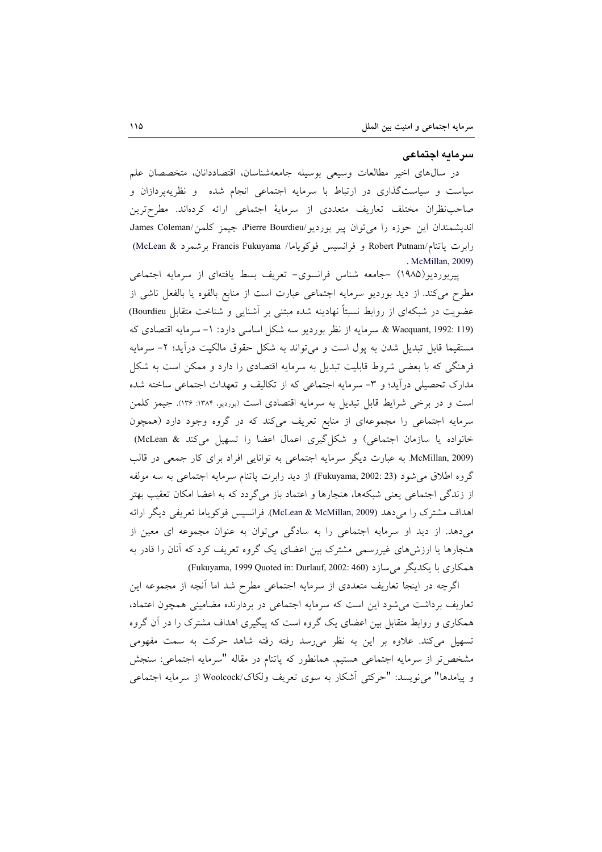#### سرمايه اجتماعي

در سالهای اخیر مطالعات وسیعی بوسیله جامعهشناسان، اقتصاددانان، متخصصان علم سیاست و سیاستگذاری در ارتباط با سرمایه اجتماعی انجام شده و نظریهپردازان و صاحب نظران مختلف تعاريف متعددي از سرمايهٔ اجتماعي ارائه كردهاند. مطرحترين اندیشمندان این حوزه را می توان پیر بوردیو/Pierre Bourdieu، جیمز کلمن/James Coleman رابرت باتنام/Robert Putnam و فرانسيس فوكوياما/ Francis Fukuyama برشمرد & McLean) . McMillan, 2009)

پیربوردیو(۱۹۸۵) -جامعه شناس فرانسوی- تعریف بسط یافتهای از سرمایه اجتماعی مطرح می کند. از دید بوردیو سرمایه اجتماعی عبارت است از منابع بالقوه یا بالفعل ناشی از عضویت در شبکهای از روابط نسبتاً نهادینه شده مبتنی بر آشنایی و شناخت متقابل Bourdieu) & Wacquant, 1992: 119). سرمايه از نظر بورديو سه شكل اساسي دارد: ١- سرمايه اقتصادي كه مستقیما قابل تبدیل شدن به پول است و می تواند به شکل حقوق مالکیت درآید؛ ۲- سرمایه فرهنگی که با بعضی شروط قابلیت تبدیل به سرمایه اقتصادی را دارد و ممکن است به شکل مدارک تحصیلی درآید؛ و ۳- سرمایه اجتماعی که از تکالیف و تعهدات اجتماعی ساخته شده است و در برخی شرایط قابل تبدیل به سرمایه اقتصادی است (بوردیو، ۱۳۸۴: ۱۳۶). جیمز کلمن سرمایه اجتماعی را مجموعهای از منابع تعریف میکند که در گروه وجود دارد (همچون خانواده یا سازمان اجتماعی) و شکل گیری اعمال اعضا را تسهیل می کند & McLean) McMillan, 2009). به عبارت دیگر سرمایه اجتماعی به توانایی افراد برای کار جمعی در قالب گروه اطلاق می شود (Fukuyama, 2002: 23). از دید رابرت یاتنام سرمایه اجتماعی به سه مولفه از زندگی اجتماعی یعنی شبکهها، هنجارها و اعتماد باز می گردد که به اعضا امکان تعقیب بهتر اهداف مشترک را میدهد (McLean & McMillan, 2009). فرانسیس فوکویاما تعریفی دیگر ارائه می دهد. از دید او سرمایه اجتماعی را به سادگی می توان به عنوان مجموعه ای معین از هنجارها یا ارزش۵های غیررسمی مشترک بین اعضای یک گروه تعریف کرد که آنان را قادر به همکاری با یکدیگر می سازد (Fukuyama, 1999 Quoted in: Durlauf, 2002: 460).

اگرچه در اینجا تعاریف متعددی از سرمایه اجتماعی مطرح شد اما آنچه از مجموعه این تعاریف برداشت می شود این است که سرمایه اجتماعی در بردارنده مضامینی همچون اعتماد، همکاری و روابط متقابل بین اعضای یک گروه است که پیگیری اهداف مشترک را در آن گروه تسهیل میکند. علاوه بر این به نظر میرسد رفته رفته شاهد حرکت به سمت مفهومی مشخصتر از سرمایه اجتماعی هستیم. همانطور که پاتنام در مقاله "سرمایه اجتماعی: سنجش و پيامدها" مي نويسد: "حركتي أشكار به سوى تعريف ولكاك/Woolcock از سرمايه اجتماعي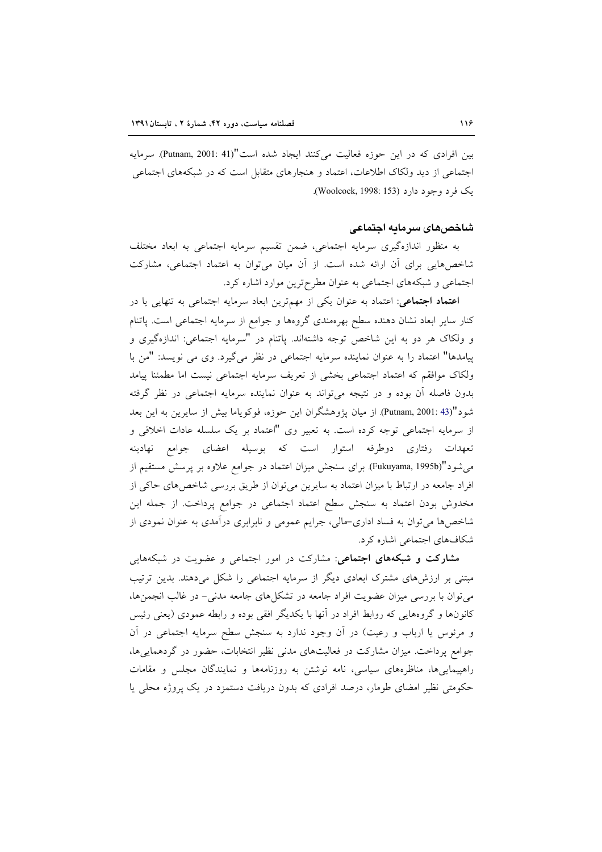بين افرادى كه در اين حوزه فعاليت مى كنند ايجاد شده است"(Putnam, 2001: 41). سرمايه اجتماعی از دید ولکاک اطلاعات، اعتماد و هنجارهای متقابل است که در شبکههای اجتماعی یک فرد وجود دارد (Woolcock, 1998: 153).

# شاخصهای سرمایه اجتماعی

به منظور اندازهگیری سرمایه اجتماعی، ضمن تقسیم سرمایه اجتماعی به ابعاد مختلف شاخصهایی برای آن ارائه شده است. از آن میان می توان به اعتماد اجتماعی، مشارکت اجتماعی و شبکههای اجتماعی به عنوان مطرح ترین موارد اشاره کرد.

اعتماد اجتماعی: اعتماد به عنوان یکی از مهمترین ابعاد سرمایه اجتماعی به تنهایی یا در کنار سایر ابعاد نشان دهنده سطح بهرهمندی گروهها و جوامع از سرمایه اجتماعی است. پاتنام و ولكاك هر دو به اين شاخص توجه داشتهاند. پاتنام در "سرمايه اجتماعي: اندازهگيري و پیامدها" اعتماد را به عنوان نماینده سرمایه اجتماعی در نظر میگیرد. وی می نویسد: "من با ولكاك موافقم كه اعتماد اجتماعي بخشى از تعريف سرمايه اجتماعي نيست اما مطمئنا ييامد بدون فاصله آن بوده و در نتيجه مي تواند به عنوان نماينده سرمايه اجتماعي در نظر گرفته شود"(Putnam, 2001: 43) از میان پژوهشگران این حوزه، فوکویاما بیش از سایرین به این بعد از سرمایه اجتماعی توجه کرده است. به تعبیر وی "اعتماد بر یک سلسله عادات اخلاقی و تعهدات رفتاری دوطرفه استوار است که بوسیله اعضای جوامع نهادینه میشود"(Fukuyama, 1995b) برای سنجش میزان اعتماد در جوامع علاوه بر پرسش مستقیم از افراد جامعه در ارتباط با میزان اعتماد به سایرین میتوان از طریق بررسی شاخصهای حاکی از مخدوش بودن اعتماد به سنجش سطح اعتماد اجتماعی در جوامع پرداخت. از جمله این شاخصها می توان به فساد اداری–مالی، جرایم عمومی و نابرابری درآمدی به عنوان نمودی از شکافهای اجتماعی اشاره کرد.

مشارکت و شبکههای اجتماعی: مشارکت در امور اجتماعی و عضویت در شبکههایی مبتنی بر ارزشهای مشترک ابعادی دیگر از سرمایه اجتماعی را شکل میدهند. بدین ترتیب می توان با بررسی میزان عضویت افراد جامعه در تشکلهای جامعه مدنی- در غالب انجمنها، کانونها و گروههایی که روابط افراد در آنها با یکدیگر افقی بوده و رابطه عمودی (یعنی رئیس و مرئوس یا ارباب و رعیت) در آن وجود ندارد به سنجش سطح سرمایه اجتماعی در آن جوامع پرداخت. میزان مشارکت در فعالیتهای مدنی نظیر انتخابات، حضور در گردهماییها، راهپیماییها، مناظرههای سیاسی، نامه نوشتن به روزنامهها و نمایندگان مجلس و مقامات حکومتی نظیر امضای طومار، درصد افرادی که بدون دریافت دستمزد در یک پروژه محلی یا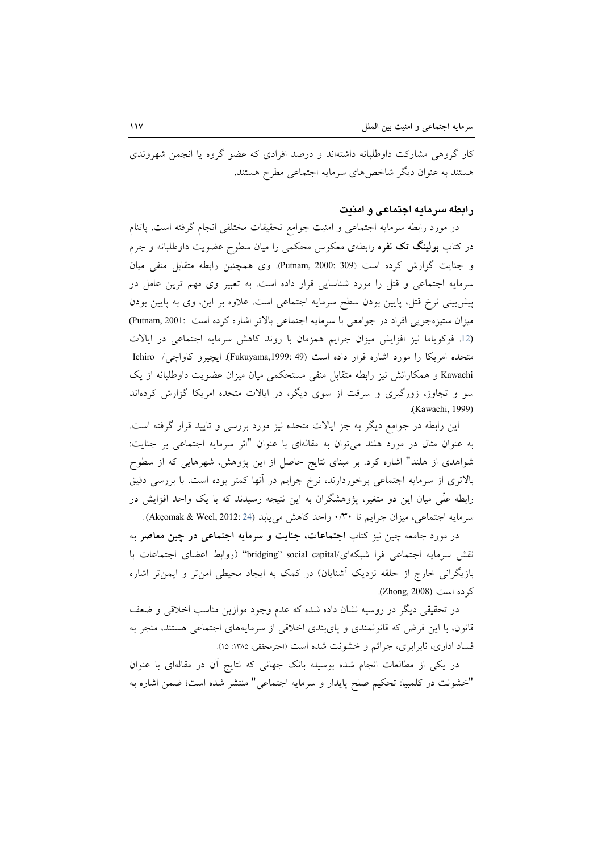کار گروهی مشارکت داوطلبانه داشتهاند و درصد افرادی که عضو گروه یا انجمن شهروندی هستند به عنوان دیگر شاخص های سرمایه اجتماعی مطرح هستند.

#### رابطه سرمايه اجتماعى و امنيت

در مورد رابطه سرمايه اجتماعي و امنيت جوامع تحقيقات مختلفي انجام گرفته است. پاتنام در کتاب **بولینگ تک نفر**ه رابطهی معکوس محکمی را میان سطوح عضویت داوطلبانه و جرم و جنايت گزارش كرده است (Butnam, 2000: 309). وى همچنين رابطه متقابل منفى ميان سرمایه اجتماعی و قتل را مورد شناسایی قرار داده است. به تعبیر وی مهم ترین عامل در پیش بینی نرخ قتل، پایین بودن سطح سرمایه اجتماعی است. علاوه بر این، وی به پایین بودن ميزان ستيزه جويبي افراد در جوامعي با سرمايه اجتماعي بالاتر اشاره كرده است :Putnam, 2001) (12. فوكوياما نيز افزايش ميزان جرايم همزمان با روند كاهش سرمايه اجتماعي در ايالات متحده امريكا را مورد اشاره قرار داده است (Fukuyama,1999: 49). ايچيرو كاواچي/ Ichiro Kawachi و همکارانش نیز رابطه متقابل منفی مستحکمی میان میزان عضویت داوطلبانه از یک سو و تجاوز، زورگیری و سرقت از سوی دیگر، در ایالات متحده امریکا گزارش کردهاند (Kawachi, 1999).

این رابطه در جوامع دیگر به جز ایالات متحده نیز مورد بررسی و تایید قرار گرفته است. به عنوان مثال در مورد هلند میتوان به مقالهای با عنوان "اثر سرمایه اجتماعی بر جنایت: شواهدی از هلند" اشاره کرد. بر مبنای نتایج حاصل از این پژوهش، شهرهایی که از سطوح بالاتری از سرمایه اجتماعی برخوردارند، نرخ جرایم در أنها کمتر بوده است. با بررسی دقیق رابطه علَّمی میان این دو متغیر، پژوهشگران به این نتیجه رسیدند که با یک واحد افزایش در سرمايه اجتماعي، ميزان جرايم تا ٣٠/٠ واحد كاهش مي يابد (24 :Akçomak & Weel, 2012) .

در مورد جامعه چین نیز کتاب اجتماعات، جنایت و سرمایه اجتماعی در چین معاصر به نقش سرمايه اجتماعي فرا شبكهاي/bridging" social capital' (روابط اعضاي اجتماعات با بازیگرانی خارج از حلقه نزدیک آشنایان) در کمک به ایجاد محیطی امن تر و ایمن تر اشاره کر ده است (Zhong, 2008).

در تحقیقی دیگر در روسیه نشان داده شده که عدم وجود موازین مناسب اخلاقی و ضعف قانون، با این فرض که قانونمندی و پایبندی اخلاقی از سرمایههای اجتماعی هستند، منجر به فساد اداري، نابرابري، جرائم و خشونت شده است (اخترمحققي، ١٣٨٥: ١٥).

در یکی از مطالعات انجام شده بوسیله بانک جهانی که نتایج آن در مقالهای با عنوان "خشونت در كلمبيا: تحكيم صلح پايدار و سرمايه اجتماعي" منتشر شده است؛ ضمن اشاره به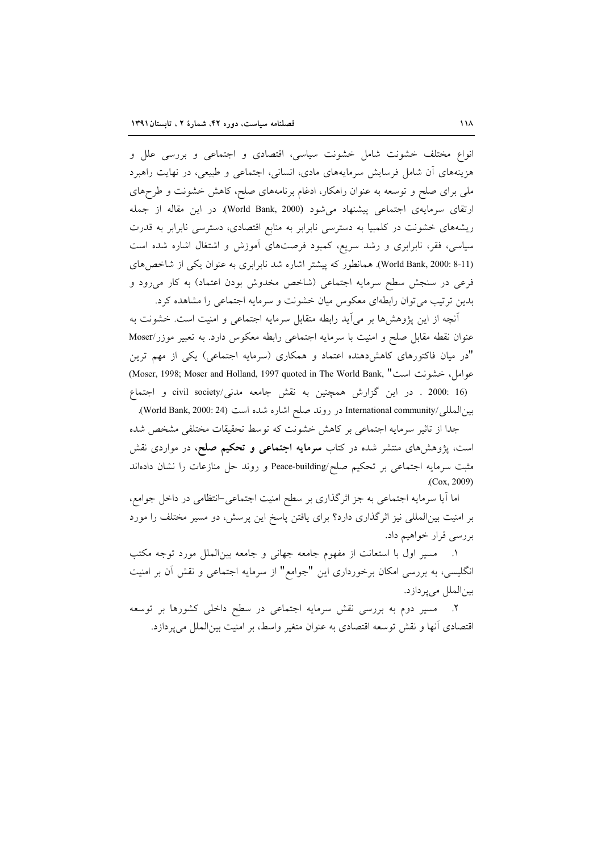انواع مختلف خشونت شامل خشونت سیاسی، اقتصادی و اجتماعی و بررسی علل و هزینههای آن شامل فرسایش سرمایههای مادی، انسانی، اجتماعی و طبیعی، در نهایت راهبرد ملی برای صلح و توسعه به عنوان راهکار، ادغام برنامههای صلح، کاهش خشونت و طرحهای ارتقاى سرمايهى اجتماعى پيشنهاد مى شود (World Bank, 2000). در اين مقاله از جمله ریشههای خشونت در کلمبیا به دسترسی نابرابر به منابع اقتصادی، دسترسی نابرابر به قدرت سیاسی، فقر، نابرابری و رشد سریع، کمبود فرصتهای آموزش و اشتغال اشاره شده است (World Bank, 2000: 8-11). همانطور که پیشتر اشاره شد نابرابری به عنوان یکی از شاخصهای فرعی در سنجش سطح سرمایه اجتماعی (شاخص مخدوش بودن اعتماد) به کار میرود و بدین ترتیب می توان رابطهای معکوس میان خشونت و سرمایه اجتماعی را مشاهده کرد.

آنچه از این پژوهشها بر می آید رابطه متقابل سرمایه اجتماعی و امنیت است. خشونت به عنوان نقطه مقابل صلح و امنیت با سرمایه اجتماعی رابطه معکوس دارد. به تعبیر موزر/Moser "در میان فاکتورهای کاهشدهنده اعتماد و همکاری (سرمایه اجتماعی) یکی از مهم ترین عوامل، خشونت است" (Moser, 1998; Moser and Holland, 1997 quoted in The World Bank,) civil society/ در این گزارش همچنین به نقش جامعه مدنی/civil society و اجتماع

بين|لمللي/International community در روند صلح اشاره شده است (World Bank, 2000: 24).

جدا از تاثیر سرمایه اجتماعی بر کاهش خشونت که توسط تحقیقات مختلفی مشخص شده است، پژوهشهای منتشر شده در کتاب **سرمایه اجتماعی و تحکیم صلح**، در مواردی نقش مثبت سرمایه اجتماعی بر تحکیم صلح/Peace-building و روند حل منازعات را نشان دادهاند  $(Cox, 2009)$ 

اما آیا سرمایه اجتماعی به جز اثرگذاری بر سطح امنیت اجتماعی-انتظامی در داخل جوامع، بر امنیت بین المللی نیز اثر گذاری دارد؟ برای یافتن پاسخ این پرسش، دو مسیر مختلف را مورد بررسي قرار خواهيم داد.

١. مسير اول با استعانت از مفهوم جامعه جهاني و جامعه بين|لملل مورد توجه مكتب انگلیسی، به بررسی امکان برخورداری این "جوامع" از سرمایه اجتماعی و نقش آن بر امنیت بينالملل مي پردازد.

۲. مسیر دوم به بررسی نقش سرمایه اجتماعی در سطح داخلی کشورها بر توسعه اقتصادی أنها و نقش توسعه اقتصادی به عنوان متغیر واسط، بر امنیت بینالملل میپردازد.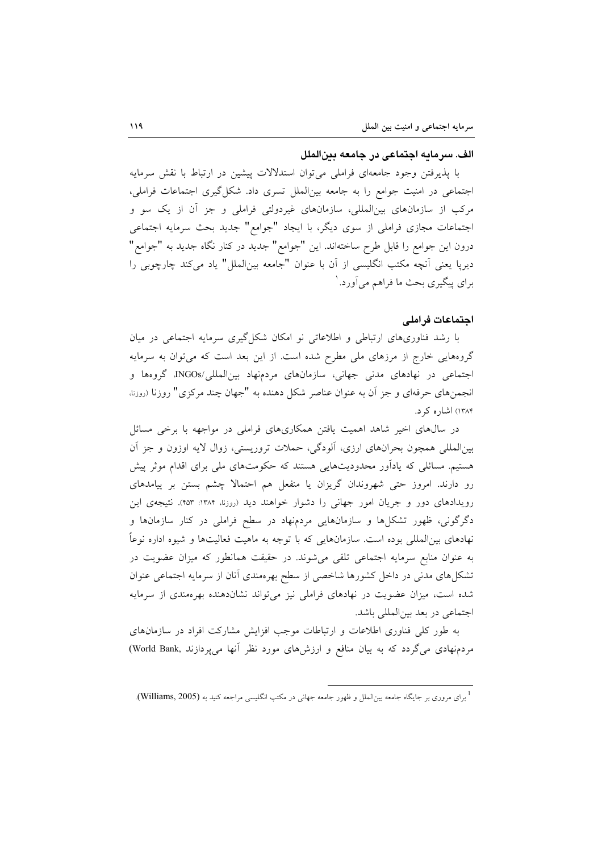#### الف. سرمايه اجتماعي در جامعه بين الملل

با پذیرفتن وجود جامعهای فراملی می توان استدلالات پیشین در ارتباط با نقش سرمایه اجتماعی در امنیت جوامع را به جامعه بینالملل تسری داد. شکل گیری اجتماعات فراملی، مرکب از سازمانهای بینالمللی، سازمانهای غیردولتی فراملی و جز آن از یک سو و اجتماعات مجازي فراملي از سوى ديگر، با ايجاد "جوامع" جديد بحث سرمايه اجتماعي درون این جوامع را قابل طرح ساختهاند. این "جوامع" جدید در کنار نگاه جدید به "جوامع" ديريا يعني أنچه مكتب انگليسي از آن با عنوان "جامعه بين|لملل" ياد ميكند چارچوبي را برای پیگیری بحث ما فراهم می آورد. `

### اجتماعات فراملي

با رشد فناوریهای ارتباطی و اطلاعاتی نو امکان شکل گیری سرمایه اجتماعی در میان گروههایی خارج از مرزهای ملی مطرح شده است. از این بعد است که میتوان به سرمایه اجتماعي در نهادهاي مدني جهاني، سازمانهاي مردمنهاد بين المللي/INGOs، گروهها و انجمنهای حرفهای و جز آن به عنوان عناصر شکل دهنده به "جهان چند مرکزی" روزنا (روزنا، ۱۳۸۴) اشاره کړ د.

در سالهای اخیر شاهد اهمیت یافتن همکاریهای فراملی در مواجهه با برخی مسائل بینالمللی همچون بحرانهای ارزی، آلودگی، حملات تروریستی، زوال لایه اوزون و جز اَن هستیم. مسائلی که یادآور محدودیتهایی هستند که حکومتهای ملی برای اقدام موثر پیش رو دارند. امروز حتی شهروندان گریزان یا منفعل هم احتمالا چشم بستن بر پیامدهای رویدادهای دور و جریان امور جهانی را دشوار خواهند دید (روزنا، ۱۳۸۴: ۴۵۳). نتیجهی این دگرگونی، ظهور تشکلها و سازمانهایی مردمنهاد در سطح فراملی در کنار سازمانها و نهادهای بین|لمللی بوده است. سازمانهایی که با توجه به ماهیت فعالیتها و شیوه اداره نوعاً به عنوان منابع سرمایه اجتماعی تلقی می شوند. در حقیقت همانطور که میزان عضویت در تشکلهای مدنی در داخل کشورها شاخصی از سطح بهرهمندی آنان از سرمایه اجتماعی عنوان شده است، میزان عضویت در نهادهای فراملی نیز میتواند نشاندهنده بهرهمندی از سرمایه اجتماعی در بعد بین المللی باشد.

به طور کلّی فناوری اطلاعات و ارتباطات موجب افزایش مشارکت افراد در سازمانهای مردمنهادی میگردد که به بیان منافع و ارزشهای مورد نظر آنها می پردازند .World Bank)

<sup>&</sup>lt;sup>1</sup> برای مروری بر جایگاه جامعه بین|لملل و ظهور جامعه جهانی در مکتب انگلیسی مراجعه کنید به (Williams, 2005).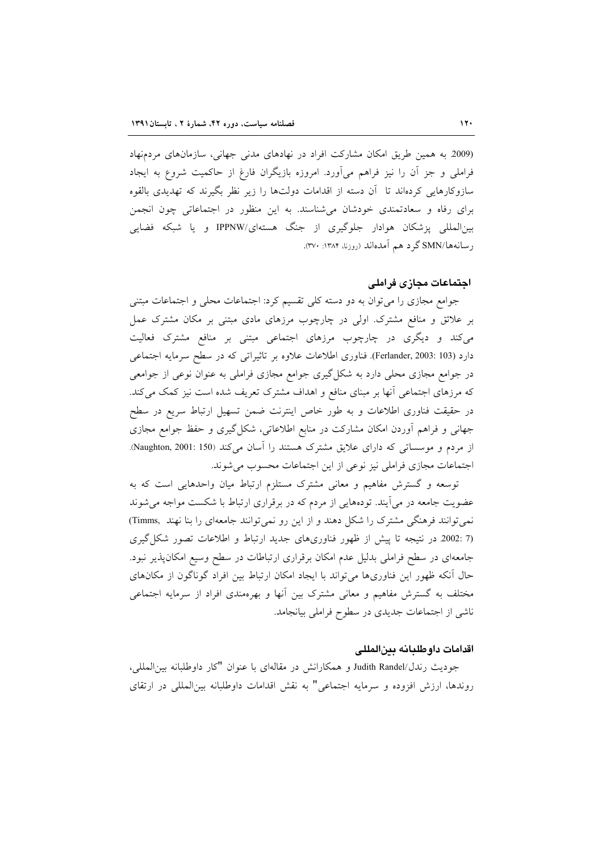(2009 به همین طریق امکان مشارکت افراد در نهادهای مدنی جهانی، سازمانهای مردمنهاد فراملی و جز آن را نیز فراهم میآورد. امروزه بازیگران فارغ از حاکمیت شروع به ایجاد سازوکارهایی کردهاند تا آن دسته از اقدامات دولتها را زیر نظر بگیرند که تهدیدی بالقوه برای رفاه و سعادتمندی خودشان می شناسند. به این منظور در اجتماعاتی چون انجمن بین المللی پزشکان هوادار جلوگیری از جنگ هستهای/IPPNW و یا شبکه فضایی رسانهها/SMN گرد هم آمدهاند (روزنا، ۱۳۸۴: ۳۷۰).

# اجتماعات مجازى فراملي

جوامع مجازی را می توان به دو دسته کلی تقسیم کرد: اجتماعات محلی و اجتماعات مبتنی بر علائق و منافع مشترک. اولی در چارچوب مرزهای مادی مبتنی بر مکان مشترک عمل میکند و دیگری در چارچوب مرزهای اجتماعی مبتنی بر منافع مشترک فعالیت دارد (Ferlander, 2003: 103). فناوري اطلاعات علاوه بر تاثيراتي كه در سطح سرمايه اجتماعي در جوامع مجازی محلی دارد به شکل گیری جوامع مجازی فراملی به عنوان نوعی از جوامعی که مرزهای اجتماعی آنها بر مبنای منافع و اهداف مشترک تعریف شده است نیز کمک می کند. در حقیقت فناوری اطلاعات و به طور خاص اینترنت ضمن تسهیل ارتباط سریع در سطح جهانی و فراهم آوردن امکان مشارکت در منابع اطلاعاتی، شکل گیری و حفظ جوامع مجازی از مردم و موسساتی که دارای علایق مشترک هستند را آسان می کند (Naughton, 2001: 150). اجتماعات مجازى فراملي نيز نوعي از اين اجتماعات محسوب مي شوند.

توسعه و گسترش مفاهیم و معانی مشترک مستلزم ارتباط میان واحدهایی است که به عضویت جامعه در می آیند. تودههایی از مردم که در برقراری ارتباط با شکست مواجه می شوند نمی توانند فرهنگی مشترک را شکل دهند و از این رو نمی توانند جامعهای را بنا نهند .Timms) (7 :2002 در نتیجه تا پیش از ظهور فناوریهای جدید ارتباط و اطلاعات تصور شکل گیری جامعهای در سطح فراملی بدلیل عدم امکان برقراری ارتباطات در سطح وسیع امکانپذیر نبود. حال آنکه ظهور این فناوریها می تواند با ایجاد امکان ارتباط بین افراد گوناگون از مکانهای مختلف به گسترش مفاهیم و معانی مشترک بین آنها و بهرهمندی افراد از سرمایه اجتماعی ناشی از اجتماعات جدیدی در سطوح فراملی بیانجامد.

# اقدامات داوطلبانه بينالمللي

جوديث رندل/Judith Randel و همكارانش در مقالهاي با عنوان "كار داوطلبانه بين|لمللي، روندها، ارزش افزوده و سرمايه اجتماعي" به نقش اقدامات داوطلبانه بين|لمللي در ارتقاي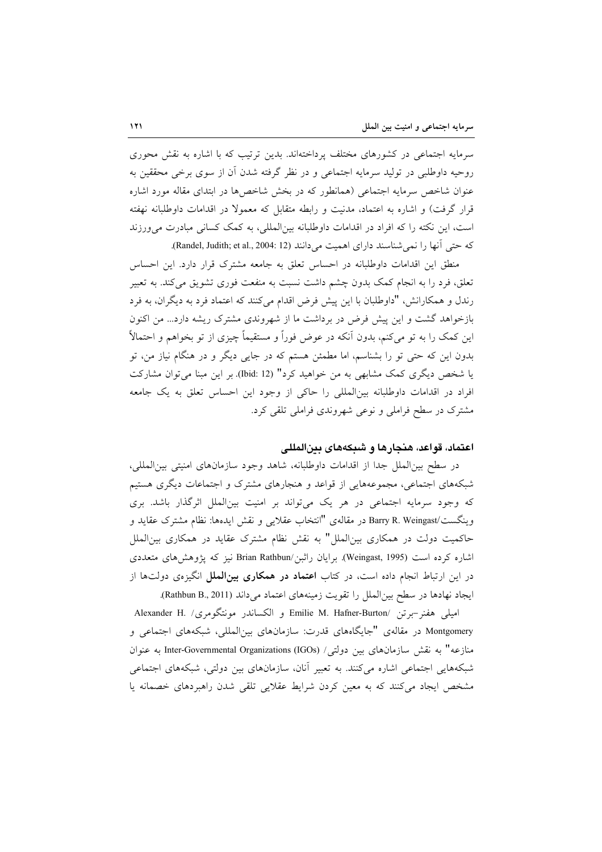سرمایه اجتماعی در کشورهای مختلف پرداختهاند. بدین ترتیب که با اشاره به نقش محوری روحیه داوطلبی در تولید سرمایه اجتماعی و در نظر گرفته شدن آن از سوی برخی محققین به عنوان شاخص سرمایه اجتماعی (همانطور که در بخش شاخصها در ابتدای مقاله مورد اشاره قرار گرفت) و اشاره به اعتماد، مدنیت و رابطه متقابل که معمولا در اقدامات داوطلبانه نهفته است، این نکته را که افراد در اقدامات داوطلبانه بین المللی، به کمک کسانی مبادرت می ورزند كه حتى أنها را نمى شناسند داراى اهميت مىدانند (Randel, Judith; et al., 2004: 12).

منطق این اقدامات داوطلبانه در احساس تعلق به جامعه مشترک قرار دارد. این احساس تعلق، فرد را به انجام کمک بدون چشم داشت نسبت به منفعت فوری تشویق میکند. به تعبیر رندل و همکارانش، "داوطلبان با این پیش فرض اقدام میکنند که اعتماد فرد به دیگران، به فرد بازخواهد گشت و این پیش فرض در برداشت ما از شهروندی مشترک ریشه دارد... من اکنون این کمک را به تو میکنم، بدون اّنکه در عوض فوراً و مستقیماً چیزی از تو بخواهم و احتمالاً بدون این که حتی تو را بشناسم، اما مطمئن هستم که در جایی دیگر و در هنگام نیاز من، تو یا شخص دیگری کمک مشابهی به من خواهید کرد" (Ibid: 12). بر این مبنا می توان مشارکت افراد در اقدامات داوطلبانه بين المللي را حاكي از وجود اين احساس تعلق به يك جامعه مشترک در سطح فراملی و نوعی شهروندی فراملی تلقی کرد.

# اعتماد، قواعد، هنجارها و شبكههای بینالمللی

در سطح بین|لملل جدا از اقدامات داوطلبانه، شاهد وجود سازمانهای امنیتی بین|لمللی، شبکههای اجتماعی، مجموعههایی از قواعد و هنجارهای مشترک و اجتماعات دیگری هستیم که وجود سرمایه اجتماعی در هر یک میتواند بر امنیت بینالملل اثرگذار باشد. بری وينگست/Barry R. Weingast در مقالهی "انتخاب عقلايی و نقش ايدهها: نظام مشترک عقايد و حاکمیت دولت در همکاری بینالملل" به نقش نظام مشترک عقاید در همکاری بینالملل اشاره کرده است (Weingast, 1995). برایان راثبن/Brian Rathbun نیز که پژوهش های متعددی در این ارتباط انجام داده است، در کتاب **اعتماد در همکاری بینالملل** انگیزهی دولتها از ايجاد نهادها در سطح بين الملل را تقويت زمينههاي اعتماد مي داند (Rathbun B., 2011).

اميلي هفنر-برتن /Emilie M. Hafner-Burton و الكساندر مونتگومري/ .Alexander H Montgomery در مقالهی "جایگاههای قدرت: سازمانهای بینالمللی، شبکههای اجتماعی و منازعه" به نقش سازمانهای بین دولتی/ Inter-Governmental Organizations (IGOs) به عنوان شبکههایی اجتماعی اشاره میکنند. به تعبیر آنان، سازمانهای بین دولتی، شبکههای اجتماعی مشخص ایجاد میکنند که به معین کردن شرایط عقلایی تلقی شدن راهبردهای خصمانه یا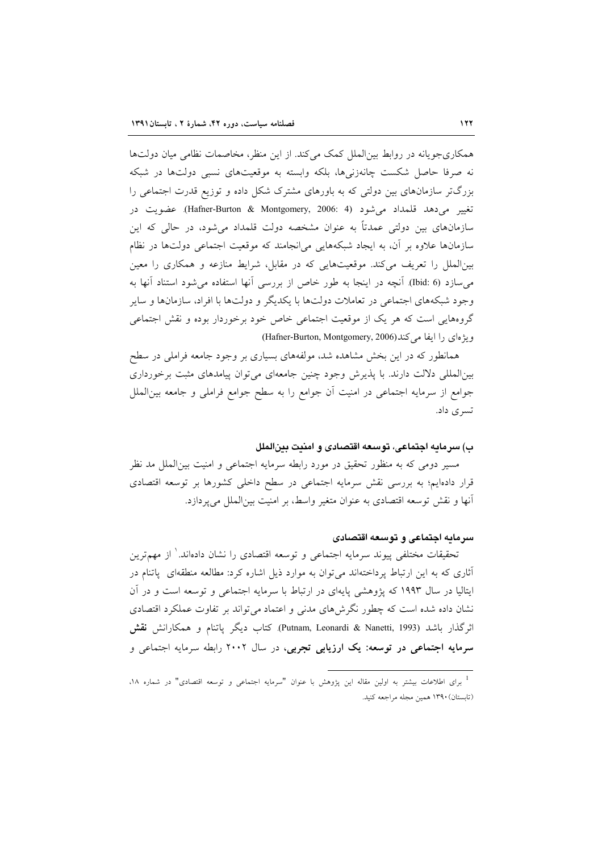همکاریجویانه در روابط بین|لملل کمک میکند. از این منظر، مخاصمات نظامی میان دولتها نه صرفا حاصل شکست چانهزنی ها، بلکه وابسته به موقعیتهای نسبی دولتها در شبکه بزرگتر سازمانهای بین دولتی که به باورهای مشترک شکل داده و توزیع قدرت اجتماعی را تغيير مي دهد قلمداد مي شود (Hafner-Burton & Montgomery, 2006: 4). عضويت در سازمانهای بین دولتی عمدتاً به عنوان مشخصه دولت قلمداد می شود، در حالی که این سازمانها علاوه بر آن، به ایجاد شبکههایی میانجامند که موقعیت اجتماعی دولتها در نظام بینالملل را تعریف میکند. موقعیتهایی که در مقابل، شرایط منازعه و همکاری را معین م سازد (bid: 6). آنچه در اینجا به طور خاص از بررسی آنها استفاده می شود استناد آنها به وجود شبکههای اجتماعی در تعاملات دولتها با یکدیگر و دولتها با افراد، سازمانها و سایر گروههایی است که هر یک از موقعیت اجتماعی خاص خود برخوردار بوده و نقش اجتماعی ويژهاي را ايفا مي كند(Hafner-Burton, Montgomery, 2006)

همانطور که در این بخش مشاهده شد، مولفههای بسیاری بر وجود جامعه فراملی در سطح بین المللی دلالت دارند. با پذیرش وجود چنین جامعهای می توان پیامدهای مثبت برخورداری جوامع از سرمایه اجتماعی در امنیت آن جوامع را به سطح جوامع فراملی و جامعه بین|لملل تسری داد.

#### ب) سرمايه اجتماعي، توسعه اقتصادي و امنيت بين الملل

مسیر دومی که به منظور تحقیق در مورد رابطه سرمایه اجتماعی و امنیت بین|لملل مد نظر قرار دادهایم؛ به بررسی نقش سرمایه اجتماعی در سطح داخلی کشورها بر توسعه اقتصادی أنها و نقش توسعه اقتصادي به عنوان متغير واسط، بر امنيت بينالملل مي پردازد.

# سرمايه اجتماعي و توسعه اقتصادي

تحقیقات مختلفی پیوند سرمایه اجتماعی و توسعه اقتصادی را نشان دادهاند. ٰ از مهمترین أثاری که به این ارتباط پرداختهاند میتوان به موارد ذیل اشاره کرد: مطالعه منطقهای پاتنام در ایتالیا در سال ۱۹۹۳ که پژوهشی پایهای در ارتباط با سرمایه اجتماعی و توسعه است و در آن نشان داده شده است که چطور نگرشهای مدنی و اعتماد می تواند بر تفاوت عملکرد اقتصادی اثرگذار باشد (Putnam, Leonardi & Nanetti, 1993). كتاب ديگر پاتنام و همكارانش **نقش** سرمایه اجتماعی در توسعه: یک ارزیابی تجربی، در سال ۲۰۰۲ رابطه سرمایه اجتماعی و

<sup>&</sup>lt;sup>1</sup> برای اطلاعات بیشتر به اولین مقاله این پژوهش با عنوان "سرمایه اجتماعی و توسعه اقتصادی" در شماره ۱۸، (تابستان) ۱۳۹۰ همین مجله مراجعه کنید.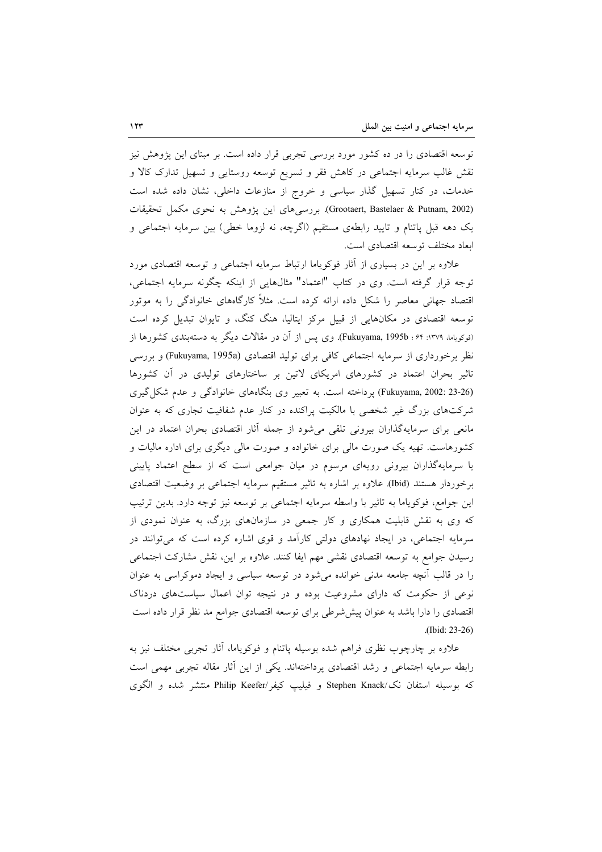توسعه اقتصادی را در ده کشور مورد بررسی تجربی قرار داده است. بر مبنای این پژوهش نیز نقش غالب سرمایه اجتماعی در کاهش فقر و تسریع توسعه روستایی و تسهیل تدارک کالا و خدمات، در کنار تسهیل گذار سیاسی و خروج از منازعات داخلی، نشان داده شده است (Grootaert, Bastelaer & Putnam, 2002). بررسیهای این پژوهش به نحوی مکمل تحقیقات یک دهه قبل پاتنام و تایید رابطهی مستقیم (اگرچه، نه لزوما خطی) بین سرمایه اجتماعی و ابعاد مختلف توسعه اقتصادي است.

علاوه بر این در بسیاری از آثار فوکویاما ارتباط سرمایه اجتماعی و توسعه اقتصادی مورد توجه قرار گرفته است. وي در كتاب "اعتماد" مثالهايي از اينكه چگونه سرمايه اجتماعي، اقتصاد جهانی معاصر را شکل داده ارائه کرده است. مثلاً کارگاههای خانوادگی را به موتور توسعه اقتصادی در مکانهایی از قبیل مرکز ایتالیا، هنگ کنگ، و تایوان تبدیل کرده است (نوکویاما، ۱۳۷۹: ۶۴؛ Fukuyama, 1995b). وی پس از آن در مقالات دیگر به دستهبندی کشورها از نظر برخورداری از سرمایه اجتماعی کافی برای تولید اقتصادی (Fukuyama, 1995a) و بررسی تاثیر بحران اعتماد در کشورهای امریکای لاتین بر ساختارهای تولیدی در آن کشورها (Fukuyama, 2002: 23-26) پرداخته است. به تعبیر وی بنگاههای خانوادگی و عدم شکل گیری شرکتهای بزرگ غیر شخصی با مالکیت پراکنده در کنار عدم شفافیت تجاری که به عنوان مانعی برای سرمایهگذاران بیرونی تلقی میشود از جمله آثار اقتصادی بحران اعتماد در این کشورهاست. تهیه یک صورت مالی برای خانواده و صورت مالی دیگری برای اداره مالیات و یا سرمایهگذاران بیرونی رویهای مرسوم در میان جوامعی است که از سطح اعتماد پایینی برخوردار هستند (Ibid). علاوه بر اشاره به تاثير مستقيم سرمايه اجتماعي بر وضعيت اقتصادى این جوامع، فوکویاما به تاثیر با واسطه سرمایه اجتماعی بر توسعه نیز توجه دارد. بدین ترتیب که وی به نقش قابلیت همکاری و کار جمعی در سازمانهای بزرگ، به عنوان نمودی از سرمایه اجتماعی، در ایجاد نهادهای دولتی کارآمد و قوی اشاره کرده است که می توانند در رسیدن جوامع به توسعه اقتصادی نقشی مهم ایفا کنند. علاوه بر این، نقش مشارکت اجتماعی را در قالب آنچه جامعه مدنی خوانده می شود در توسعه سیاسی و ایجاد دموکراسی به عنوان نوعی از حکومت که دارای مشروعیت بوده و در نتیجه توان اعمال سیاستهای دردناک اقتصادی را دارا باشد به عنوان پیششرطی برای توسعه اقتصادی جوامع مد نظر قرار داده است (Ibid: 23-26)

علاوه بر چارچوب نظری فراهم شده بوسیله پاتنام و فوکویاما، آثار تجربی مختلف نیز به رابطه سرمایه اجتماعی و رشد اقتصادی پرداختهاند. یکی از این آثار مقاله تجربی مهمی است كه بوسيله استفان نك/Stephen Knack و فيليب كيفر/Philip Keefer منتشر شده و الگوى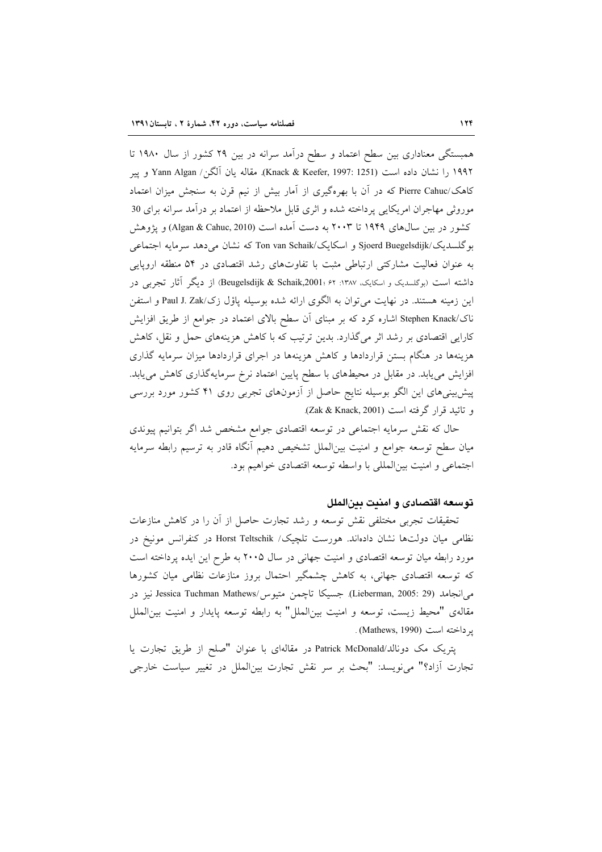همبستگی معناداری بین سطح اعتماد و سطح درآمد سرانه در بین ۲۹ کشور از سال ۱۹۸۰ تا ۱۹۹۲ را نشان داده است (Knack & Keefer, 1997: 1251). مقاله يان اَلگن/ Yann Algan و يير کاهک/Pierre Cahuc که در آن با بهرهگیری از آمار بیش از نیم قرن به سنجش میزان اعتماد موروثی مهاجران امریکایی پرداخته شده و اثری قابل ملاحظه از اعتماد بر درآمد سرانه برای 30 کشور در بین سال\$ای ۱۹۴۹ تا ۲۰۰۳ به دست آمده است (Algan & Cahuc, 2010) و یژوهش بوگلسدیک/Sjoerd Buegelsdijk و اسکایک/Ton van Schaik که نشان می دهد سرمایه اجتماعی به عنوان فعالیت مشارکتی ارتباطی مثبت با تفاوتهای رشد اقتصادی در ۵۴ منطقه اروپایی داشته است (بوگلسدیک و اسکایک، ۱۳۸۷: ۶۲ ؛ Beugelsdijk & Schaik,2001) از دیگر آثار تجربی در این زمینه هستند. در نهایت می توان به الگوی ارائه شده بوسیله پاؤل زک/Paul J. Zak و استفن ناک/Stephen Knack اشاره کرد که بر مبنای آن سطح بالای اعتماد در جوامع از طریق افزایش کارایی اقتصادی بر رشد اثر می گذارد. بدین ترتیب که با کاهش هزینههای حمل و نقل، کاهش هزینهها در هنگام بستن قراردادها و کاهش هزینهها در اجرای قراردادها میزان سرمایه گذاری افزایش مییابد. در مقابل در محیطهای با سطح پایین اعتماد نرخ سرمایهگذاری کاهش مییابد. پیش بینیهای این الگو بوسیله نتایج حاصل از آزمونهای تجربی روی ۴۱ کشور مورد بررسی و تائيد قرار گرفته است (Zak & Knack, 2001).

حال که نقش سرمایه اجتماعی در توسعه اقتصادی جوامع مشخص شد اگر بتوانیم پیوندی میان سطح توسعه جوامع و امنیت بین|لملل تشخیص دهیم أنگاه قادر به ترسیم رابطه سرمایه اجتماعي و امنيت بين المللي با واسطه توسعه اقتصادي خواهيم بود.

# توسعه اقتصادى و امنيت بين الملل

تحقیقات تجربی مختلفی نقش توسعه و رشد تجارت حاصل از أن را در كاهش منازعات نظامی میان دولتها نشان دادهاند. هورست تلچیک/ Horst Teltschik در کنفرانس مونیخ در مورد رابطه میان توسعه اقتصادی و امنیت جهانی در سال ۲۰۰۵ به طرح این ایده پرداخته است که توسعه اقتصادی جهانی، به کاهش چشمگیر احتمال بروز منازعات نظامی میان کشورها مي انجامد (Lieberman, 2005: 29) جسيكا تاچمن متيوس/Jessica Tuchman Mathews نيز در مقالهی "محیط زیست، توسعه و امنیت بینالملل" به رابطه توسعه پایدار و امنیت بینالملل ير داخته است (Mathews, 1990).

يتريك مك دونالد/Patrick McDonald در مقالهاي با عنوان "صلح از طريق تجارت يا تجارت أزاد؟" ميiويسد: "بحث بر سر نقش تجارت بينالملل در تغيير سياست خارجي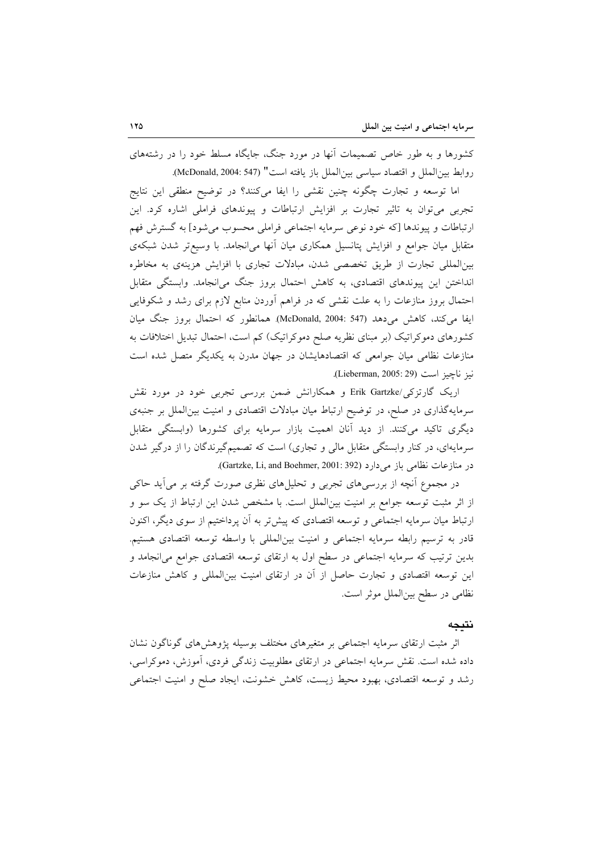کشورها و به طور خاص تصمیمات آنها در مورد جنگ، جایگاه مسلط خود را در رشتههای روابط بين الملل و اقتصاد سياسي بين الملل باز يافته است" (McDonald, 2004: 547).

اما توسعه و تجارت چگونه چنین نقشی را ایفا میکنند؟ در توضیح منطقی این نتایج تجربی می توان به تاثیر تجارت بر افزایش ارتباطات و پیوندهای فراملی اشاره کرد. این ارتباطات و پیوندها [که خود نوعی سرمایه اجتماعی فراملی محسوب می شود] به گسترش فهم متقابل میان جوامع و افزایش پتانسیل همکاری میان آنها می|نجامد. با وسیعتر شدن شبکهی بینالمللی تجارت از طریق تخصصی شدن، مبادلات تجاری با افزایش هزینهی به مخاطره انداختن این پیوندهای اقتصادی، به کاهش احتمال بروز جنگ می انجامد. وابستگی متقابل احتمال بروز منازعات را به علت نقشی که در فراهم اَوردن منابع لازم برای رشد و شکوفایی ايفا مي كند، كاهش مي دهد (547 :McDonald, 2004). همانطور كه احتمال بروز جنگ ميان کشورهای دموکراتیک (بر مبنای نظریه صلح دموکراتیک) کم است، احتمال تبدیل اختلافات به منازعات نظامی میان جوامعی که اقتصادهایشان در جهان مدرن به یکدیگر متصل شده است نيز ناچيز است (Lieberman, 2005: 29).

اریک گارتزکی/Erik Gartzke و همکارانش ضمن بررسی تجربی خود در مورد نقش سرمایهگذاری در صلح، در توضیح ارتباط میان مبادلات اقتصادی و امنیت بینالملل بر جنبهی دیگری تاکید میکنند. از دید آنان اهمیت بازار سرمایه برای کشورها (وابستگی متقابل سرمایهای، در کنار وابستگی متقابل مالی و تجاری) است که تصمیمگیرندگان را از درگیر شدن در منازعات نظامی باز می دارد (Gartzke, Li, and Boehmer, 2001: 392).

در مجموع آنچه از بررسی۵ای تجربی و تحلیلهای نظری صورت گرفته بر میآید حاکی از اثر مثبت توسعه جوامع بر امنیت بین|لملل است. با مشخص شدن این ارتباط از یک سو و ارتباط میان سرمایه اجتماعی و توسعه اقتصادی که پیش تر به آن پرداختیم از سوی دیگر، اکنون قادر به ترسیم رابطه سرمایه اجتماعی و امنیت بینالمللی با واسطه توسعه اقتصادی هستیم. بدین ترتیب که سرمایه اجتماعی در سطح اول به ارتقای توسعه اقتصادی جوامع می[نجامد و این توسعه اقتصادی و تجارت حاصل از آن در ارتقای امنیت بینالمللی و کاهش منازعات نظامی در سطح بینالملل موثر است.

# نتيجه

اثر مثبت ارتقای سرمایه اجتماعی بر متغیرهای مختلف بوسیله پژوهشهای گوناگون نشان داده شده است. نقش سرمایه اجتماعی در ارتقای مطلوبیت زندگی فردی، آموزش، دموکراسی، رشد و توسعه اقتصادی، بهبود محیط زیست، کاهش خشونت، ایجاد صلح و امنیت اجتماعی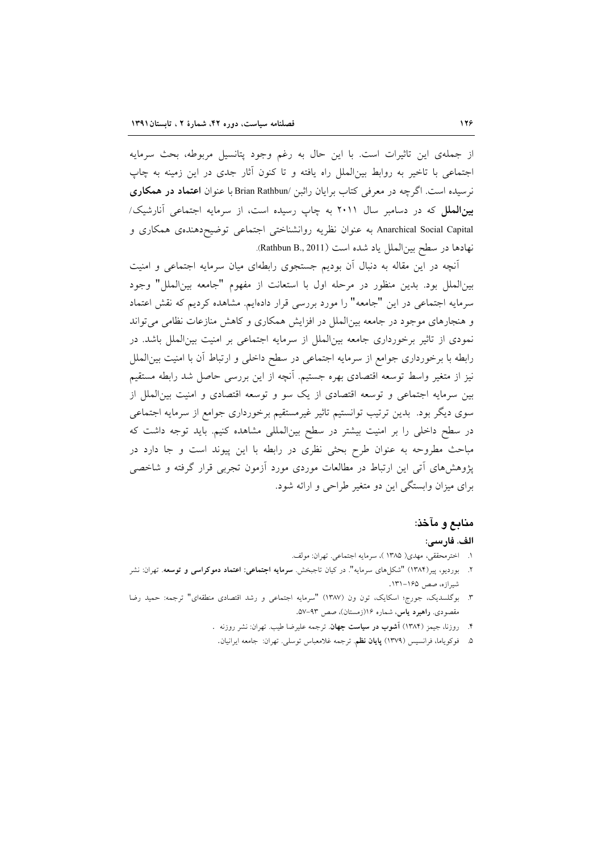از جملهی این تاثیرات است. با این حال به رغم وجود پتانسیل مربوطه، بحث سرمایه اجتماعی با تاخیر به روابط بینالملل راه یافته و تا کنون أثار جدی در این زمینه به چاپ نرسیده است. اگرچه در معرفی کتاب برایان راثبن /Brian Rathbun با عنوان اعتماد در همکاری بینالملل که در دسامبر سال ۲۰۱۱ به چاپ رسیده است، از سرمایه اجتماعی آنارشیک/ Anarchical Social Capital به عنوان نظريه روانشناختي اجتماعي توضيح دهندهي همكاري و نهادها در سطح بین|لملل یاد شده است (Rathbun B., 2011).

آنچه در این مقاله به دنبال آن بودیم جستجوی رابطهای میان سرمایه اجتماعی و امنیت بين|لملل بود. بدين منظور در مرحله اول با استعانت از مفهوم "جامعه بين|لملل" وجود سرمایه اجتماعی در این "جامعه" را مورد بررسی قرار دادهایم. مشاهده کردیم که نقش اعتماد و هنجارهای موجود در جامعه بین الملل در افزایش همکاری و کاهش منازعات نظامی می تواند نمودی از تاثیر برخورداری جامعه بین|لملل از سرمایه اجتماعی بر امنیت بین|لملل باشد. در رابطه با برخورداری جوامع از سرمایه اجتماعی در سطح داخلی و ارتباط آن با امنیت بین|لملل نیز از متغیر واسط توسعه اقتصادی بهره جستیم. آنچه از این بررسی حاصل شد رابطه مستقیم بین سرمایه اجتماعی و توسعه اقتصادی از یک سو و توسعه اقتصادی و امنیت بین(لملل از سوی دیگر بود. بدین ترتیب توانستیم تاثیر غیرمستقیم برخورداری جوامع از سرمایه اجتماعی در سطح داخلی را بر امنیت بیشتر در سطح بینالمللی مشاهده کنیم. باید توجه داشت که مباحث مطروحه به عنوان طرح بحثی نظری در رابطه با این پیوند است و جا دارد در پژوهشهای آتی این ارتباط در مطالعات موردی مورد آزمون تجربی قرار گرفته و شاخصی برای میزان وابستگی این دو متغیر طراحی و ارائه شود.

#### منابع و مآخذ:

#### الف. فارسي:

- ١. اخترمحققي، مهدي( ١٣٨٥ )، سرمايه اجتماعي. تهران: مولف.
- ۲. بوردیو، پیر(۱۳۸۴) "شکل۵ای سرمایه". در کیان تاجبخش. **سرمایه اجتماعی: اعتماد دموکراسی و توسعه**. تهران: نشر شيرازه، صص ۱۶۵–۱۳۱.
- ۳. بوگلسدیک، جورج؛ اسکایک، تون ون (۱۳۸۷) "سرمایه اجتماعی و رشد اقتصادی منطقهای" ترجمه: حمید رضا مقصودی. **راهبرد یاس**، شماره ۱۶(زمستان)، صص ۹۳-۵۷.
	- ۴. روزنا، جیمز (۱۳۸۴) آ**شوب در سیاست جهان**. ترجمه علیرضا طیب. تهران: نشر روزنه .
		- ۵. فوكوياما، فرانسيس (١٣٧٩) **پايان نظم**. ترجمه غلامعباس توسلي. تهران: جامعه ايرانيان.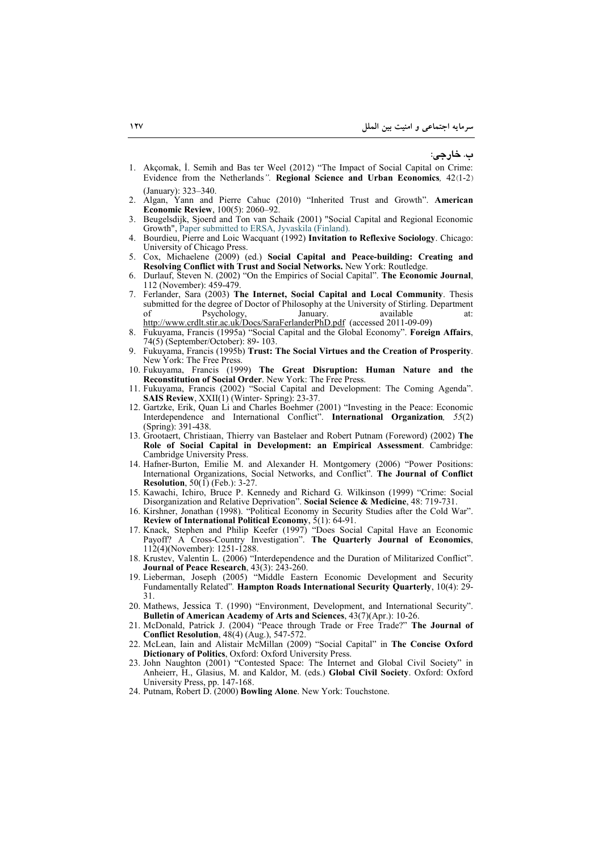**: ./**

- 1. Akçomak, L. Semih and Bas ter Weel (2012) "The Impact of Social Capital on Crime: Evidence from the Netherlands*".* **Regional Science and Urban Economics***,* 42(1-2) (January): 323–340.
- 2. Algan, Yann and Pierre Cahuc (2010) "Inherited Trust and Growth". **American Economic Review**, 100(5): 2060–92.
- 3. Beugelsdijk, Sjoerd and Ton van Schaik (2001) "Social Capital and Regional Economic Growth", Paper submitted to ERSA, Jyvaskila (Finland).
- 4. Bourdieu, Pierre and Loic Wacquant (1992) **Invitation to Reflexive Sociology**. Chicago: University of Chicago Press.
- 5. Cox, Michaelene (2009) (ed.) **Social Capital and Peace-building: Creating and Resolving Conflict with Trust and Social Networks.** New York: Routledge.
- 6. Durlauf, Steven N. (2002) "On the Empirics of Social Capital". **The Economic Journal**, 112 (November): 459-479.
- 7. Ferlander, Sara (2003) **The Internet, Social Capital and Local Community**. Thesis submitted for the degree of Doctor of Philosophy at the University of Stirling. Department of Psychology, January. available at: http://www.crdlt.stir.ac.uk/Docs/SaraFerlanderPhD.pdf (accessed 2011-09-09)
- 8. Fukuyama, Francis (1995a) "Social Capital and the Global Economy". **Foreign Affairs**, 74(5) (September/October): 89- 103.
- 9. Fukuyama, Francis (1995b) **Trust: The Social Virtues and the Creation of Prosperity**. New York: The Free Press.
- 10. Fukuyama, Francis (1999) **The Great Disruption: Human Nature and the Reconstitution of Social Order**. New York: The Free Press.
- 11. Fukuyama, Francis (2002) "Social Capital and Development: The Coming Agenda". **SAIS Review**, XXII(1) (Winter- Spring): 23-37.
- 12. Gartzke, Erik, Quan Li and Charles Boehmer (2001) "Investing in the Peace: Economic Interdependence and International Conflict". **International Organization***, 55*(2) (Spring): 391-438.
- 13. Grootaert, Christiaan, Thierry van Bastelaer and Robert Putnam (Foreword) (2002) **The Role of Social Capital in Development: an Empirical Assessment**. Cambridge: Cambridge University Press.
- 14. Hafner-Burton, Emilie M. and Alexander H. Montgomery (2006) "Power Positions: International Organizations, Social Networks, and Conflict". **The Journal of Conflict Resolution**, 50(1) (Feb.): 3-27.
- 15. Kawachi, Ichiro, Bruce P. Kennedy and Richard G. Wilkinson (1999) "Crime: Social Disorganization and Relative Deprivation". **Social Science & Medicine**, 48: 719-731.
- 16. Kirshner, Jonathan (1998). "Political Economy in Security Studies after the Cold War". **Review of International Political Economy**, 5(1): 64-91.
- 17. Knack, Stephen and Philip Keefer (1997) "Does Social Capital Have an Economic Payoff? A Cross-Country Investigation". **The Quarterly Journal of Economics**, 112(4)(November): 1251-1288.
- 18. Krustev, Valentin L. (2006) "Interdependence and the Duration of Militarized Conflict". **Journal of Peace Research**, 43(3): 243-260.
- 19. Lieberman, Joseph (2005) "Middle Eastern Economic Development and Security Fundamentally Related"*.* **Hampton Roads International Security Quarterly**, 10(4): 29- 31.
- 20. Mathews, Jessica T. (1990) "Environment, Development, and International Security". **Bulletin of American Academy of Arts and Sciences**, 43(7)(Apr.): 10-26.
- 21. McDonald, Patrick J. (2004) "Peace through Trade or Free Trade?" **The Journal of Conflict Resolution**, 48(4) (Aug.), 547-572.
- 22. McLean, Iain and Alistair McMillan (2009) "Social Capital" in **The Concise Oxford Dictionary of Politics**, Oxford: Oxford University Press.
- 23. John Naughton (2001) "Contested Space: The Internet and Global Civil Society" in Anheierr, H., Glasius, M. and Kaldor, M. (eds.) **Global Civil Society**. Oxford: Oxford University Press, pp. 147-168.
- 24. Putnam, Robert D. (2000) **Bowling Alone**. New York: Touchstone.